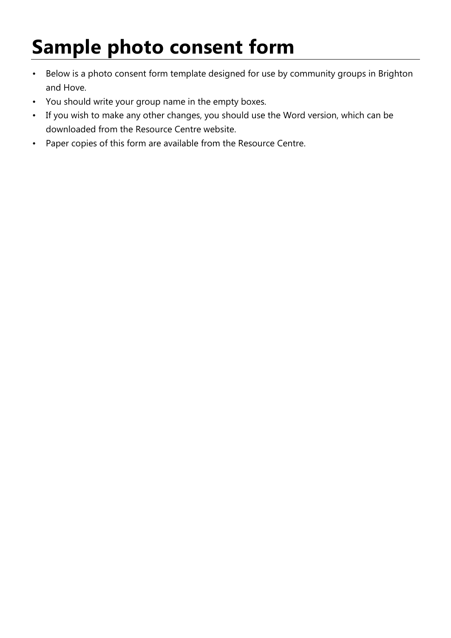## **Sample photo consent form**

- Below is a photo consent form template designed for use by community groups in Brighton and Hove.
- You should write your group name in the empty boxes.
- If you wish to make any other changes, you should use the Word version, which can be downloaded from the Resource Centre website.
- Paper copies of this form are available from the Resource Centre.